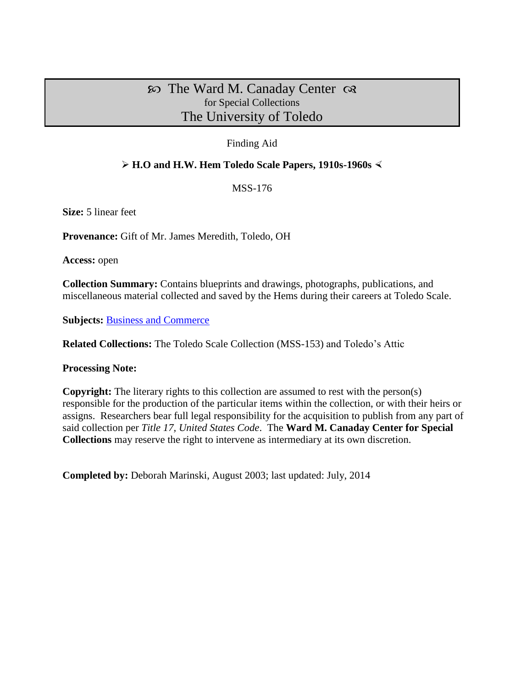# $\infty$  The Ward M. Canaday Center  $\infty$ for Special Collections The University of Toledo

# Finding Aid

# **H.O and H.W. Hem Toledo Scale Papers, 1910s-1960s**

MSS-176

**Size:** 5 linear feet

**Provenance:** Gift of Mr. James Meredith, Toledo, OH

**Access:** open

**Collection Summary:** Contains blueprints and drawings, photographs, publications, and miscellaneous material collected and saved by the Hems during their careers at Toledo Scale.

**Subjects:** [Business and Commerce](http://www.utoledo.edu/library/canaday/guidepages/business.html)

**Related Collections:** The Toledo Scale Collection (MSS-153) and Toledo's Attic

**Processing Note:**

**Copyright:** The literary rights to this collection are assumed to rest with the person(s) responsible for the production of the particular items within the collection, or with their heirs or assigns. Researchers bear full legal responsibility for the acquisition to publish from any part of said collection per *Title 17, United States Code*. The **Ward M. Canaday Center for Special Collections** may reserve the right to intervene as intermediary at its own discretion.

**Completed by:** Deborah Marinski, August 2003; last updated: July, 2014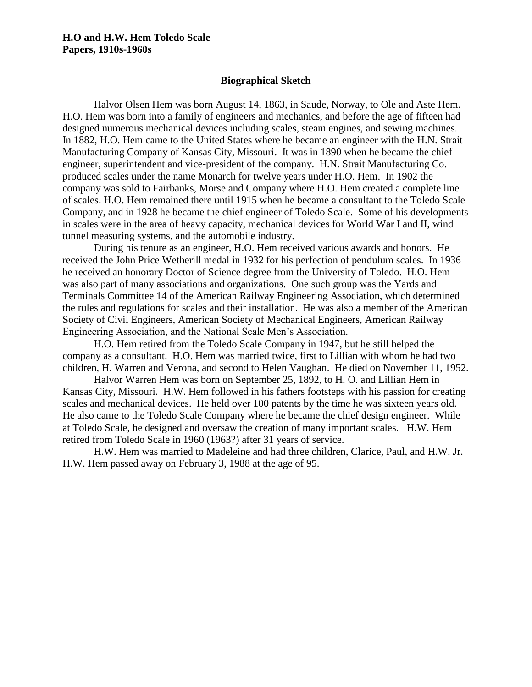#### **Biographical Sketch**

Halvor Olsen Hem was born August 14, 1863, in Saude, Norway, to Ole and Aste Hem. H.O. Hem was born into a family of engineers and mechanics, and before the age of fifteen had designed numerous mechanical devices including scales, steam engines, and sewing machines. In 1882, H.O. Hem came to the United States where he became an engineer with the H.N. Strait Manufacturing Company of Kansas City, Missouri. It was in 1890 when he became the chief engineer, superintendent and vice-president of the company. H.N. Strait Manufacturing Co. produced scales under the name Monarch for twelve years under H.O. Hem. In 1902 the company was sold to Fairbanks, Morse and Company where H.O. Hem created a complete line of scales. H.O. Hem remained there until 1915 when he became a consultant to the Toledo Scale Company, and in 1928 he became the chief engineer of Toledo Scale. Some of his developments in scales were in the area of heavy capacity, mechanical devices for World War I and II, wind tunnel measuring systems, and the automobile industry.

During his tenure as an engineer, H.O. Hem received various awards and honors. He received the John Price Wetherill medal in 1932 for his perfection of pendulum scales. In 1936 he received an honorary Doctor of Science degree from the University of Toledo. H.O. Hem was also part of many associations and organizations. One such group was the Yards and Terminals Committee 14 of the American Railway Engineering Association, which determined the rules and regulations for scales and their installation. He was also a member of the American Society of Civil Engineers, American Society of Mechanical Engineers, American Railway Engineering Association, and the National Scale Men's Association.

H.O. Hem retired from the Toledo Scale Company in 1947, but he still helped the company as a consultant. H.O. Hem was married twice, first to Lillian with whom he had two children, H. Warren and Verona, and second to Helen Vaughan. He died on November 11, 1952.

Halvor Warren Hem was born on September 25, 1892, to H. O. and Lillian Hem in Kansas City, Missouri. H.W. Hem followed in his fathers footsteps with his passion for creating scales and mechanical devices. He held over 100 patents by the time he was sixteen years old. He also came to the Toledo Scale Company where he became the chief design engineer. While at Toledo Scale, he designed and oversaw the creation of many important scales. H.W. Hem retired from Toledo Scale in 1960 (1963?) after 31 years of service.

H.W. Hem was married to Madeleine and had three children, Clarice, Paul, and H.W. Jr. H.W. Hem passed away on February 3, 1988 at the age of 95.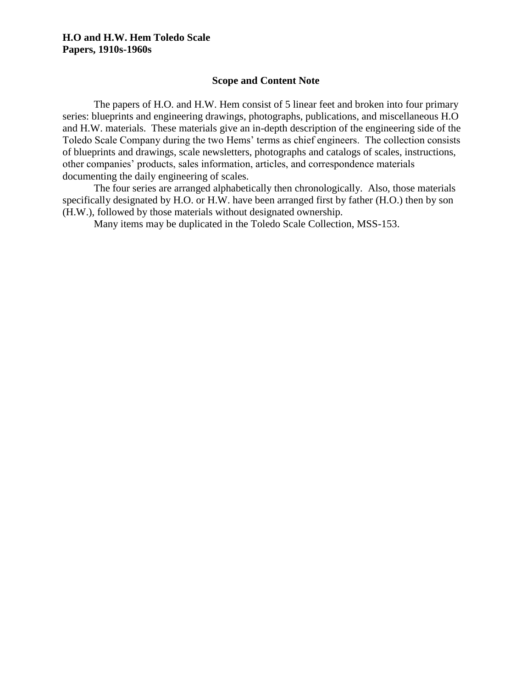#### **Scope and Content Note**

The papers of H.O. and H.W. Hem consist of 5 linear feet and broken into four primary series: blueprints and engineering drawings, photographs, publications, and miscellaneous H.O and H.W. materials. These materials give an in-depth description of the engineering side of the Toledo Scale Company during the two Hems' terms as chief engineers. The collection consists of blueprints and drawings, scale newsletters, photographs and catalogs of scales, instructions, other companies' products, sales information, articles, and correspondence materials documenting the daily engineering of scales.

The four series are arranged alphabetically then chronologically. Also, those materials specifically designated by H.O. or H.W. have been arranged first by father (H.O.) then by son (H.W.), followed by those materials without designated ownership.

Many items may be duplicated in the Toledo Scale Collection, MSS-153.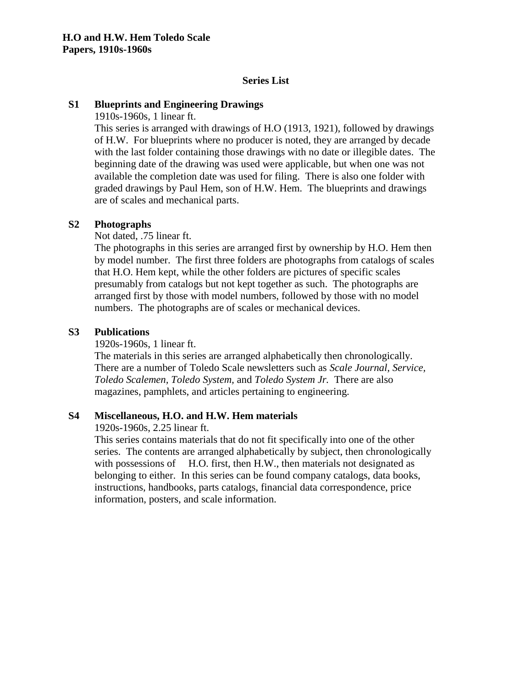# **Series List**

#### **S1 Blueprints and Engineering Drawings**

1910s-1960s, 1 linear ft.

This series is arranged with drawings of H.O (1913, 1921), followed by drawings of H.W. For blueprints where no producer is noted, they are arranged by decade with the last folder containing those drawings with no date or illegible dates. The beginning date of the drawing was used were applicable, but when one was not available the completion date was used for filing. There is also one folder with graded drawings by Paul Hem, son of H.W. Hem. The blueprints and drawings are of scales and mechanical parts.

#### **S2 Photographs**

Not dated, .75 linear ft.

The photographs in this series are arranged first by ownership by H.O. Hem then by model number. The first three folders are photographs from catalogs of scales that H.O. Hem kept, while the other folders are pictures of specific scales presumably from catalogs but not kept together as such. The photographs are arranged first by those with model numbers, followed by those with no model numbers. The photographs are of scales or mechanical devices.

#### **S3 Publications**

1920s-1960s, 1 linear ft.

The materials in this series are arranged alphabetically then chronologically. There are a number of Toledo Scale newsletters such as *Scale Journal, Service, Toledo Scalemen, Toledo System,* and *Toledo System Jr.* There are also magazines, pamphlets, and articles pertaining to engineering.

#### **S4 Miscellaneous, H.O. and H.W. Hem materials**

1920s-1960s, 2.25 linear ft.

This series contains materials that do not fit specifically into one of the other series. The contents are arranged alphabetically by subject, then chronologically with possessions of H.O. first, then H.W., then materials not designated as belonging to either. In this series can be found company catalogs, data books, instructions, handbooks, parts catalogs, financial data correspondence, price information, posters, and scale information.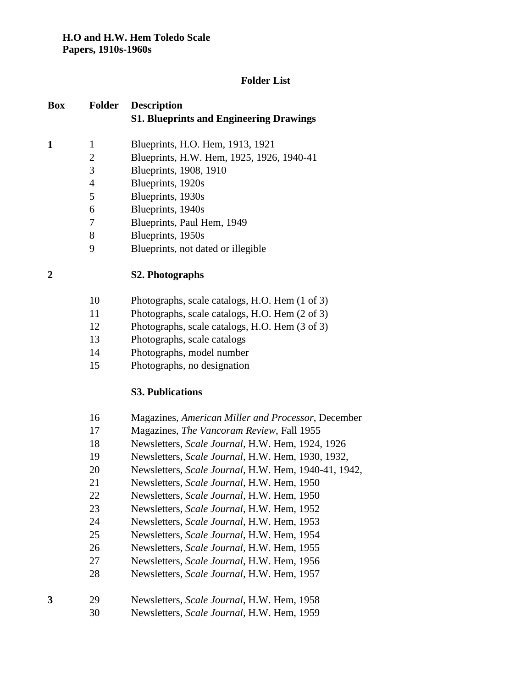# **Folder List**

| <b>Box</b>   | <b>Folder</b>  | <b>Description</b><br><b>S1. Blueprints and Engineering Drawings</b> |
|--------------|----------------|----------------------------------------------------------------------|
| $\mathbf{1}$ | $\mathbf{1}$   | Blueprints, H.O. Hem, 1913, 1921                                     |
|              | $\overline{2}$ | Blueprints, H.W. Hem, 1925, 1926, 1940-41                            |
|              | 3              | Blueprints, 1908, 1910                                               |
|              | $\overline{4}$ | Blueprints, 1920s                                                    |
|              | 5              | Blueprints, 1930s                                                    |
|              | 6              | Blueprints, 1940s                                                    |
|              | 7              | Blueprints, Paul Hem, 1949                                           |
|              | 8              | Blueprints, 1950s                                                    |
|              | 9              | Blueprints, not dated or illegible                                   |
| 2            |                | S2. Photographs                                                      |
|              | 10             | Photographs, scale catalogs, H.O. Hem (1 of 3)                       |
|              | 11             | Photographs, scale catalogs, H.O. Hem (2 of 3)                       |
|              | 12             | Photographs, scale catalogs, H.O. Hem (3 of 3)                       |
|              | 13             | Photographs, scale catalogs                                          |
|              | 14             | Photographs, model number                                            |
|              | 15             | Photographs, no designation                                          |
|              |                | <b>S3. Publications</b>                                              |
|              | 16             | Magazines, American Miller and Processor, December                   |
|              | 17             | Magazines, The Vancoram Review, Fall 1955                            |
|              | 18             | Newsletters, Scale Journal, H.W. Hem, 1924, 1926                     |
|              | 19             | Newsletters, Scale Journal, H.W. Hem, 1930, 1932,                    |
|              | 20             | Newsletters, Scale Journal, H.W. Hem, 1940-41, 1942,                 |
|              | 21             | Newsletters, Scale Journal, H.W. Hem, 1950                           |
|              | 22             | Newsletters, Scale Journal, H.W. Hem, 1950                           |
|              | 23             | Newsletters, Scale Journal, H.W. Hem, 1952                           |
|              | 24             | Newsletters, Scale Journal, H.W. Hem, 1953                           |
|              | 25             | Newsletters, Scale Journal, H.W. Hem, 1954                           |
|              | 26             | Newsletters, Scale Journal, H.W. Hem, 1955                           |
|              | 27             | Newsletters, Scale Journal, H.W. Hem, 1956                           |
|              | 28             | Newsletters, <i>Scale Journal</i> , H.W. Hem, 1957                   |
| 3            | 29             | Newsletters, Scale Journal, H.W. Hem, 1958                           |
|              | 30             | Newsletters, Scale Journal, H.W. Hem, 1959                           |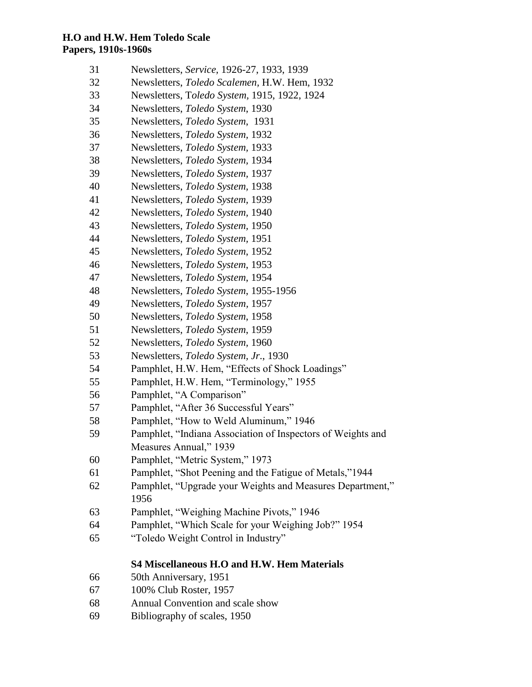- Newsletters, *Service,* 1926-27, 1933, 1939
- Newsletters, *Toledo Scalemen,* H.W. Hem, 1932
- Newsletters, T*oledo System,* 1915, 1922, 1924
- Newsletters, *Toledo System*, 1930
- Newsletters, *Toledo System*, 1931
- Newsletters, *Toledo System,* 1932
- Newsletters, *Toledo System,* 1933
- Newsletters, *Toledo System,* 1934
- Newsletters, *Toledo System,* 1937
- Newsletters, *Toledo System,* 1938
- Newsletters, *Toledo System,* 1939
- Newsletters, *Toledo System,* 1940
- Newsletters, *Toledo System,* 1950
- Newsletters, *Toledo System,* 1951
- Newsletters, *Toledo System*, 1952
- Newsletters, *Toledo System*, 1953
- Newsletters, *Toledo System*, 1954
- Newsletters, *Toledo System*, 1955-1956
- Newsletters, *Toledo System,* 1957
- Newsletters, *Toledo System*, 1958
- Newsletters, *Toledo System*, 1959
- Newsletters, *Toledo System,* 1960
- Newsletters, *Toledo System, Jr*., 1930
- Pamphlet, H.W. Hem, "Effects of Shock Loadings"
- Pamphlet, H.W. Hem, "Terminology," 1955
- Pamphlet, "A Comparison"
- Pamphlet, "After 36 Successful Years"
- Pamphlet, "How to Weld Aluminum," 1946
- Pamphlet, "Indiana Association of Inspectors of Weights and Measures Annual," 1939
- Pamphlet, "Metric System," 1973
- Pamphlet, "Shot Peening and the Fatigue of Metals,"1944
- Pamphlet, "Upgrade your Weights and Measures Department,"
- Pamphlet, "Weighing Machine Pivots," 1946
- Pamphlet, "Which Scale for your Weighing Job?" 1954
- "Toledo Weight Control in Industry"

# **S4 Miscellaneous H.O and H.W. Hem Materials**

- 50th Anniversary, 1951
- 100% Club Roster, 1957
- Annual Convention and scale show
- Bibliography of scales, 1950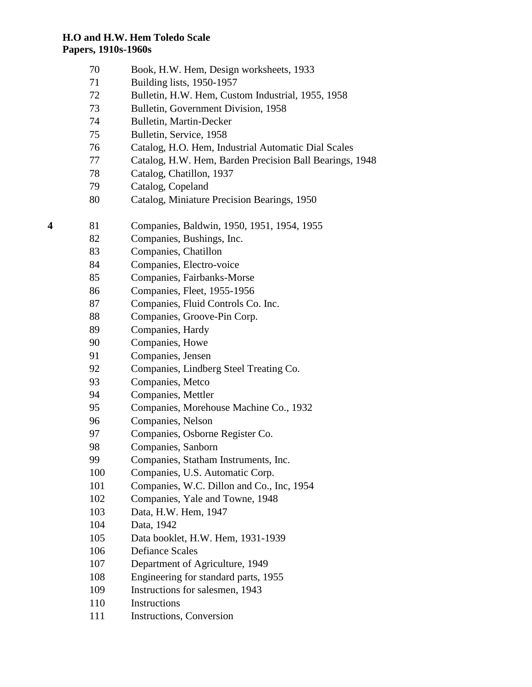- Book, H.W. Hem, Design worksheets, 1933
- Building lists, 1950-1957
- Bulletin, H.W. Hem, Custom Industrial, 1955, 1958
- Bulletin, Government Division, 1958
- Bulletin, Martin-Decker
- Bulletin, Service, 1958
- Catalog, H.O. Hem, Industrial Automatic Dial Scales
- Catalog, H.W. Hem, Barden Precision Ball Bearings, 1948
- Catalog, Chatillon, 1937
- Catalog, Copeland
- Catalog, Miniature Precision Bearings, 1950
- 81 Companies, Baldwin, 1950, 1951, 1954, 1955
	- Companies, Bushings, Inc.
	- Companies, Chatillon
	- Companies, Electro-voice
	- Companies, Fairbanks-Morse
	- Companies, Fleet, 1955-1956
	- Companies, Fluid Controls Co. Inc.
	- Companies, Groove-Pin Corp.
	- Companies, Hardy
	- Companies, Howe
	- Companies, Jensen
	- Companies, Lindberg Steel Treating Co.
	- Companies, Metco
	- Companies, Mettler
	- Companies, Morehouse Machine Co., 1932
	- Companies, Nelson
	- Companies, Osborne Register Co.
	- Companies, Sanborn
	- Companies, Statham Instruments, Inc.
	- Companies, U.S. Automatic Corp.
	- 101 Companies, W.C. Dillon and Co., Inc, 1954
	- Companies, Yale and Towne, 1948
	- Data, H.W. Hem, 1947
	- Data, 1942
	- Data booklet, H.W. Hem, 1931-1939
	- Defiance Scales
	- Department of Agriculture, 1949
	- Engineering for standard parts, 1955
	- Instructions for salesmen, 1943
	- Instructions
	- 111 Instructions, Conversion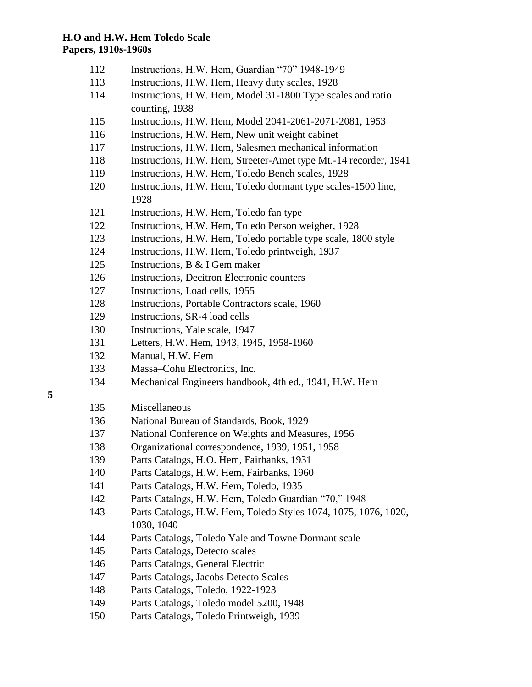- Instructions, H.W. Hem, Guardian "70" 1948-1949
- Instructions, H.W. Hem, Heavy duty scales, 1928
- Instructions, H.W. Hem, Model 31-1800 Type scales and ratio counting, 1938
- Instructions, H.W. Hem, Model 2041-2061-2071-2081, 1953
- Instructions, H.W. Hem, New unit weight cabinet
- Instructions, H.W. Hem, Salesmen mechanical information
- Instructions, H.W. Hem, Streeter-Amet type Mt.-14 recorder, 1941
- Instructions, H.W. Hem, Toledo Bench scales, 1928
- Instructions, H.W. Hem, Toledo dormant type scales-1500 line,
- Instructions, H.W. Hem, Toledo fan type
- Instructions, H.W. Hem, Toledo Person weigher, 1928
- Instructions, H.W. Hem, Toledo portable type scale, 1800 style
- Instructions, H.W. Hem, Toledo printweigh, 1937
- Instructions, B & I Gem maker
- Instructions, Decitron Electronic counters
- Instructions, Load cells, 1955
- Instructions, Portable Contractors scale, 1960
- Instructions, SR-4 load cells
- Instructions, Yale scale, 1947
- Letters, H.W. Hem, 1943, 1945, 1958-1960
- Manual, H.W. Hem
- Massa–Cohu Electronics, Inc.
- Mechanical Engineers handbook, 4th ed., 1941, H.W. Hem
- 
- Miscellaneous
- National Bureau of Standards, Book, 1929
- National Conference on Weights and Measures, 1956
- Organizational correspondence, 1939, 1951, 1958
- Parts Catalogs, H.O. Hem, Fairbanks, 1931
- Parts Catalogs, H.W. Hem, Fairbanks, 1960
- Parts Catalogs, H.W. Hem, Toledo, 1935
- Parts Catalogs, H.W. Hem, Toledo Guardian "70," 1948
- Parts Catalogs, H.W. Hem, Toledo Styles 1074, 1075, 1076, 1020, 1030, 1040
- Parts Catalogs, Toledo Yale and Towne Dormant scale
- Parts Catalogs, Detecto scales
- Parts Catalogs, General Electric
- Parts Catalogs, Jacobs Detecto Scales
- Parts Catalogs, Toledo, 1922-1923
- Parts Catalogs, Toledo model 5200, 1948
- Parts Catalogs, Toledo Printweigh, 1939